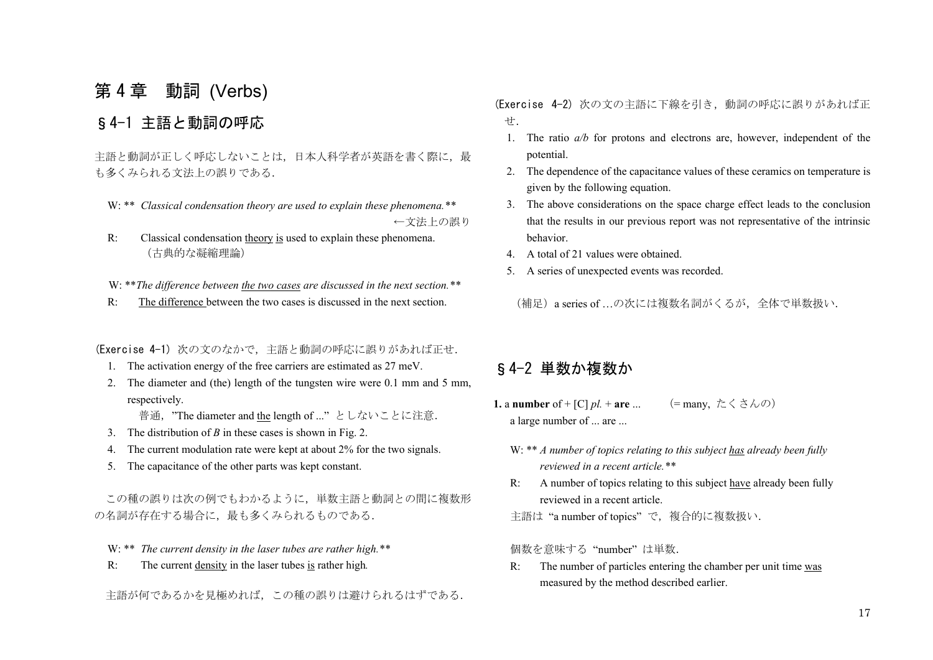# 第 4 章 動詞 (Verbs)

## §4-1 主語と動詞の呼応

主語と動詞が正しく呼応しないことは、日本人科学者が英語を書く際に、最 も多くみられる文法上の誤りである.

- W: \*\* *Classical condensation theory are used to explain these phenomena.\*\** ←文法上の誤り
- R: Classical condensation theory is used to explain these phenomena. (古典的な凝縮理論)

W: \*\**The difference between the two cases are discussed in the next section.*\*\*

R: The difference between the two cases is discussed in the next section.

(Exercise 4-1) 次の文のなかで,主語と動詞の呼応に誤りがあれば正せ.

- 1. The activation energy of the free carriers are estimated as 27 meV.
- 2. The diameter and (the) length of the tungsten wire were 0.1 mm and 5 mm, respectively.

普通, "The diameter and the length of ..." としないことに注意.

- 3. The distribution of *B* in these cases is shown in Fig. 2.
- 4. The current modulation rate were kept at about 2% for the two signals.
- 5. The capacitance of the other parts was kept constant.

 この種の誤りは次の例でもわかるように,単数主語と動詞との間に複数形 の名詞が存在する場合に、最も多くみられるものである.

- W: \*\* *The current density in the laser tubes are rather high.\*\**
- R: The current density in the laser tubes is rather high*.*

主語が何であるかを見極めれば,この種の誤りは避けられるはずである.

(Exercise 4-2) 次の文の主語に下線を引き,動詞の呼応に誤りがあれば正 せ.

- 1. The ratio *a/b* for protons and electrons are, however, independent of the potential.
- 2. The dependence of the capacitance values of these ceramics on temperature is given by the following equation.
- 3. The above considerations on the space charge effect leads to the conclusion that the results in our previous report was not representative of the intrinsic behavior.
- 4. A total of 21 values were obtained.
- 5. A series of unexpected events was recorded.

(補足)a series of …の次には複数名詞がくるが,全体で単数扱い.

## §4-2 単数か複数か

- 1. a number of + [C]  $pl.$  + are ... (= many,  $\stackrel{\star}{\sim}$   $\stackrel{\star}{\sim}$   $\stackrel{\star}{\sim}$   $\stackrel{\star}{\sim}$   $\stackrel{\star}{\sim}$   $\stackrel{\star}{\sim}$ ) a large number of ... are ...
- W: \*\* *A number of topics relating to this subject has already been fully reviewed in a recent article.\*\**
- R: A number of topics relating to this subject have already been fully reviewed in a recent article.

主語は "a number of topics" で、複合的に複数扱い.

個数を意味する "number" は単数.

 R: The number of particles entering the chamber per unit time was measured by the method described earlier.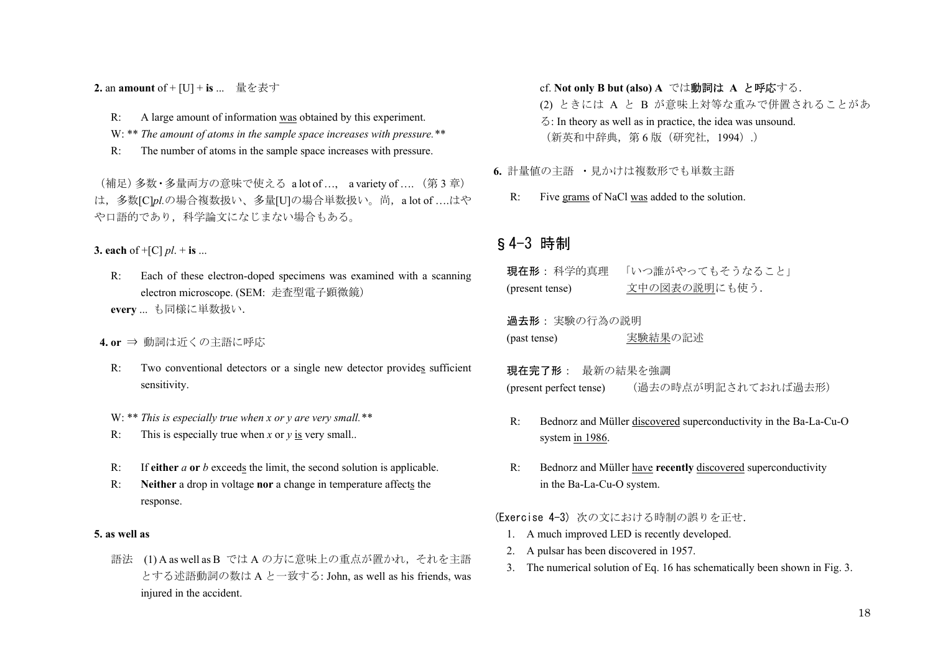**2.** an **amount** of + [U] + **is** ... 量を表す

- R: A large amount of information was obtained by this experiment.
- W: \*\* *The amount of atoms in the sample space increases with pressure.*\*\*
- R: The number of atoms in the sample space increases with pressure.

(補足)多数・多量両方の意味で使える a lot of …, a variety of …. (第 <sup>3</sup> 章) は,多数[C]*pl.*の場合複数扱い、多量[U]の場合単数扱い。尚,a lot of ….はや や口語的であり,科学論文になじまない場合もある。

**3. each** of  $+[C]$  *pl*.  $+$  **is** ...

R: Each of these electron-doped specimens was examined with a scanning electron microscope. (SEM: 走査型電子顕微鏡) **every** ... も同様に単数扱い.

#### **4. or** ⇒ 動詞は近くの主語に呼応

- R: Two conventional detectors or a single new detector provides sufficient sensitivity.
- W: \*\* *This is especially true when x or y are very small.\*\**
- R: This is especially true when *x* or *y* is very small..
- R: If **either** *a* **or** *b* exceeds the limit, the second solution is applicable.
- R: **Neither** a drop in voltage **nor** a change in temperature affects the response.

#### **5. as well as**

語法 (1) A as well as B では <sup>A</sup> の方に意味上の重点が置かれ,それを主語 とする述語動詞の数は <sup>A</sup> と一致する: John, as well as his friends, was injured in the accident.

#### cf. **Not only B but (also) A** では動詞は **A** と呼応する.

 (2) ときには A と B が意味上対等な重みで併置されることがあ る: In theory as well as in practice, the idea was unsound. (新英和中辞典,第 6 版(研究社,1994).)

- **6.** 計量値の主語 ・見かけは複数形でも単数主語
	- R: Five grams of NaCl was added to the solution.

### §4-3 時制

現在形: 科学的真理 「いつ誰がやってもそうかろこと」 (present tense) 文中の図表の説明にも使う.

過去形: 実験の行為の説明 (past tense) 実験結果の記述

**現在完了形**: 最新の結果を強調 (present perfect tense) (過去の時点が明記されておれば過去形)

- R: Bednorz and Müller discovered superconductivity in the Ba-La-Cu-O system in 1986.
- R: Bednorz and Müller have **recently** discovered superconductivity in the Ba-La-Cu-O system.

#### (Exercise 4-3) 次の文における時制の誤りを正せ.

- 1. A much improved LED is recently developed.
- 2. A pulsar has been discovered in 1957.
- 3. The numerical solution of Eq. 16 has schematically been shown in Fig. 3.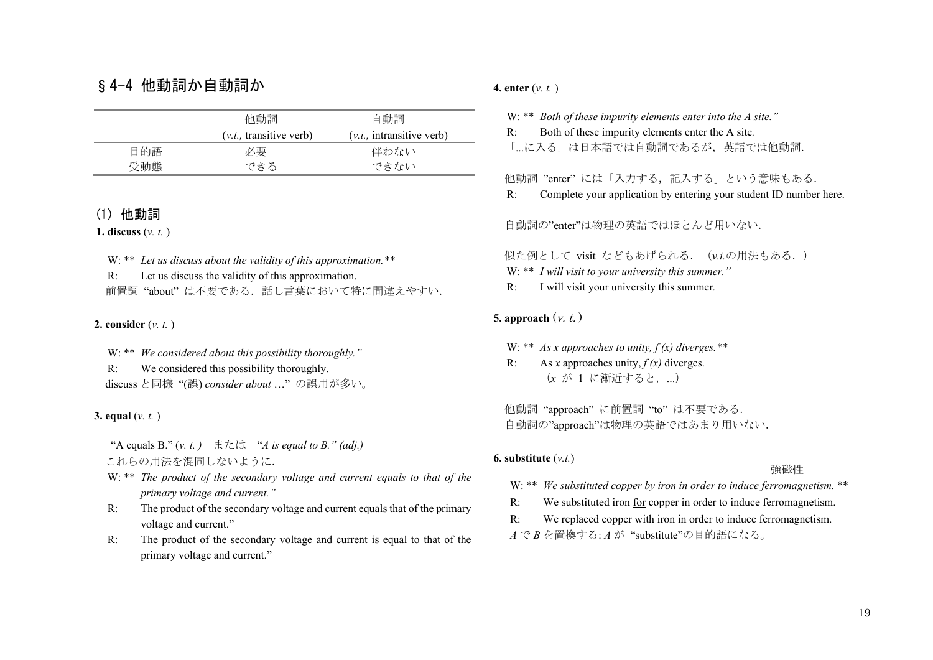## §4-4 他動詞か自動詞か

|     | 他動詞                       | 自動詞                         |
|-----|---------------------------|-----------------------------|
|     | $(v.t.,$ transitive verb) | $(v, i,$ intransitive verb) |
| 目的語 | 必要                        | 伴わない                        |
| 受動熊 | できる                       | できない                        |

### (1) 他動詞

**1. discuss** (*v. t.* )

 W: \*\* *Let us discuss about the validity of this approximation.\*\** R: Let us discuss the validity of this approximation. 前置詞 "about" は不要である. 話し言葉において特に間違えやすい.

#### **2. consider** (*v. t.* )

 W: \*\* *We considered about this possibility thoroughly."* R: We considered this possibility thoroughly. discuss と同様 "(誤) *consider about* …" の誤用が多い。

#### **3. equal** (*v. t.* )

 "A equals B." (*v. t. )* または "*A is equal to B." (adj.)*  これらの用法を混同しないように.

W: \*\* *The product of the secondary voltage and current equals to that of the primary voltage and current."*

- R: The product of the secondary voltage and current equals that of the primary voltage and current."
- R: The product of the secondary voltage and current is equal to that of the primary voltage and current."

#### **4. enter** (*v. t.* )

W: \*\* *Both of these impurity elements enter into the A site."*

R: Both of these impurity elements enter the A site*.* 

「...に入る」は日本語では自動詞であるが、英語では他動詞.

#### 他動詞 "enter" には「入力する,記入する」という意味もある.

R: Complete your application by entering your student ID number here.

自動詞の"enter"は物理の英語ではほとんど用いない.

#### 似た例として visit などもあげられる.(*v.i.*の用法もある.)

- W: \*\* *I will visit to your university this summer."*
- R: I will visit your university this summer*.*

#### **5. approach**  $(v, t)$

W: \*\* *As x approaches to unity, f (x) diverges.\*\** 

R: As *x* approaches unity, *f (x)* diverges. (x が 1 に漸近すると, ...)

 他動詞 "approach" に前置詞 "to" は不要である. 自動詞の"approach"は物理の英語ではあまり用いない.

#### **6. substitute** (*v.t.*)

#### 強磁性

- W: \*\* *We substituted copper by iron in order to induce ferromagnetism.* \*\*
- R: We substituted iron for copper in order to induce ferromagnetism.
- R: We replaced copper with iron in order to induce ferromagnetism.

*A* で *<sup>B</sup>* を置換する: *A* が "substitute"の目的語になる。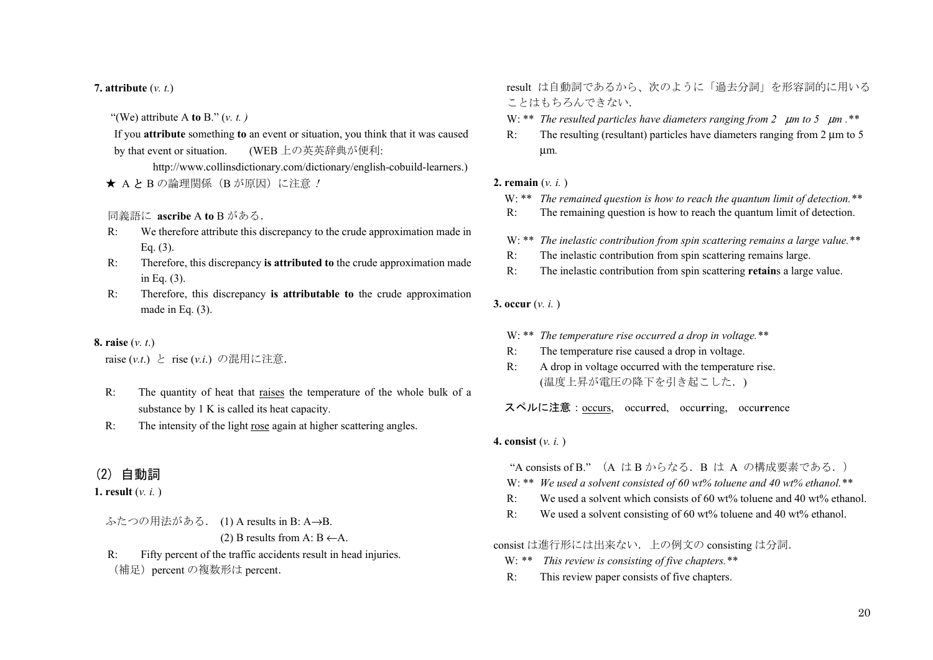#### **7. attribute** (*v. t.*)

"(We) attribute A **to** B." (*v. t. )*

If you **attribute** something **to** an event or situation, you think that it was caused by that event or situation. (WEB 上の英英辞典が便利:

http://www.collinsdictionary.com/dictionary/english-cobuild-learners.) ★ AとBの論理関係(Bが原因)に注意 !

#### 同義語に **ascribe** A **to** B がある.

- R: We therefore attribute this discrepancy to the crude approximation made in Eq. (3).
- R: Therefore, this discrepancy **is attributed to** the crude approximation made in Eq. (3).
- R: Therefore, this discrepancy **is attributable to** the crude approximation made in Eq. (3).

#### **8. raise** (*v. t*.)

raise (*v.t*.) と rise (*v.i*.) の混用に注意.

- R: The quantity of heat that raises the temperature of the whole bulk of a substance by 1 K is called its heat capacity.
- R: The intensity of the light rose again at higher scattering angles.

### (2) 自動詞

#### **1. result** (*v. i.* )

- ふたつの用法がある. (1) A results in B: A→B. (2) B results from A:  $B \leftarrow A$ .
- R: Fifty percent of the traffic accidents result in head injuries. (補足) percent の複数形は percent.

result は自動詞であるから、次のように「過去分詞」を形容詞的に用いる ことはもちろんできない.

- W: \*\* *The resulted particles have diameters ranging from 2*μ*m to 5*μ*m .\*\**
- R: The resulting (resultant) particles have diameters ranging from 2 μm to 5 μ<sup>m</sup>*.*

#### **2. remain** (*v. i.* )

- W: \*\* *The remained question is how to reach the quantum limit of detection.*\*\*
- R: The remaining question is how to reach the quantum limit of detection.
- W: \*\* *The inelastic contribution from spin scattering remains a large value.\*\**
- R: The inelastic contribution from spin scattering remains large.
- R: The inelastic contribution from spin scattering **retain**s a large value.

#### **3. occur** (*v. i.* )

- W: \*\* *The temperature rise occurred a drop in voltage.\*\**
- R: The temperature rise caused a drop in voltage.
- R: A drop in voltage occurred with the temperature rise. (温度上昇が電圧の降下を引き起こした.)

スペルに注意:occurs, occu**rr**ed, occu**rr**ing, occu**rr**ence

#### **4. consist** (*v. i.* )

"A consists of B." (A は B からなる.B は A の構成要素である.)

- W: \*\* *We used a solvent consisted of 60 wt% toluene and 40 wt% ethanol.\*\**
- R: We used a solvent which consists of 60 wt% toluene and 40 wt% ethanol.
- R: We used a solvent consisting of 60 wt% toluene and 40 wt% ethanol.
- consist は進行形には出来ない.上の例文の consisting は分詞.
	- W: *\*\* This review is consisting of five chapters.\*\**
	- R: This review paper consists of five chapters.